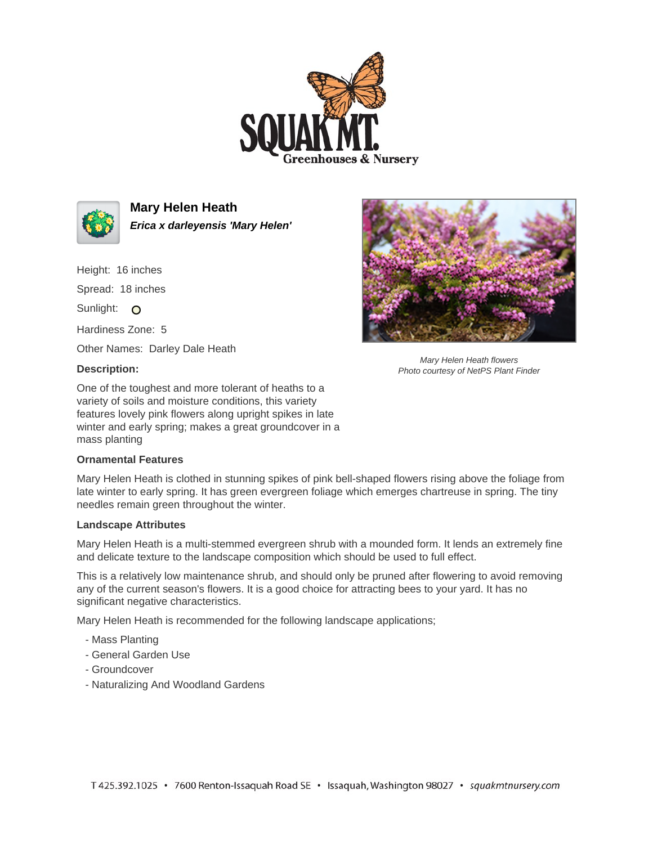



**Mary Helen Heath Erica x darleyensis 'Mary Helen'**

Height: 16 inches Spread: 18 inches

Sunlight: O

Hardiness Zone: 5

Other Names: Darley Dale Heath

## **Description:**

One of the toughest and more tolerant of heaths to a variety of soils and moisture conditions, this variety features lovely pink flowers along upright spikes in late winter and early spring; makes a great groundcover in a mass planting

## **Ornamental Features**

Mary Helen Heath is clothed in stunning spikes of pink bell-shaped flowers rising above the foliage from late winter to early spring. It has green evergreen foliage which emerges chartreuse in spring. The tiny needles remain green throughout the winter.

## **Landscape Attributes**

Mary Helen Heath is a multi-stemmed evergreen shrub with a mounded form. It lends an extremely fine and delicate texture to the landscape composition which should be used to full effect.

This is a relatively low maintenance shrub, and should only be pruned after flowering to avoid removing any of the current season's flowers. It is a good choice for attracting bees to your yard. It has no significant negative characteristics.

Mary Helen Heath is recommended for the following landscape applications;

- Mass Planting
- General Garden Use
- Groundcover
- Naturalizing And Woodland Gardens



Mary Helen Heath flowers Photo courtesy of NetPS Plant Finder